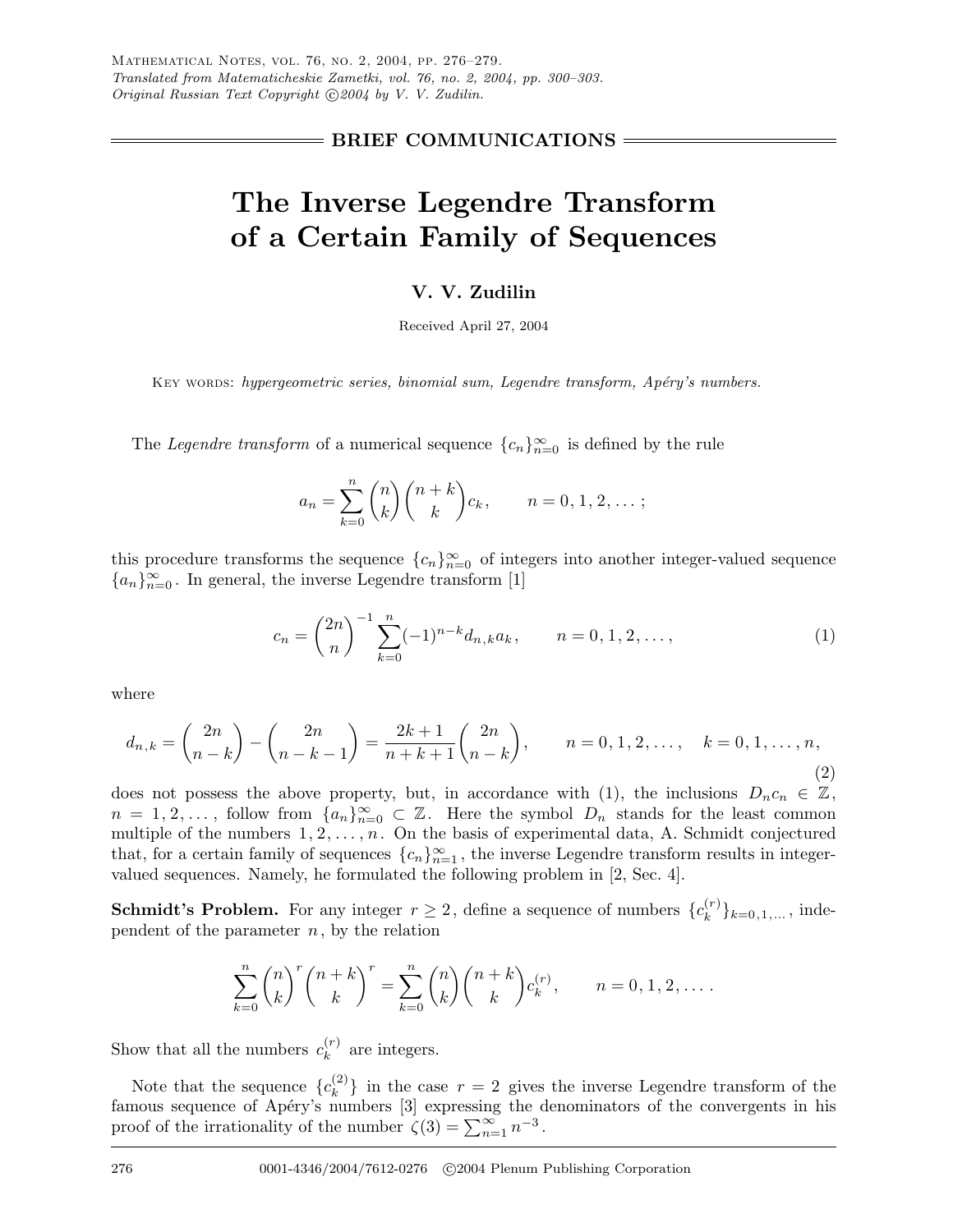### **BRIEF COMMUNICATIONS**

# **The Inverse Legendre Transform of a Certain Family of Sequences**

## **V. V. Zudilin**

Received April 27, 2004

Key words: *hypergeometric series, binomial sum, Legendre transform, Apéry's numbers.* 

The *Legendre transform* of a numerical sequence  ${c_n}_{n=0}^{\infty}$  is defined by the rule

$$
a_n = \sum_{k=0}^n {n \choose k} {n+k \choose k} c_k, \qquad n = 0, 1, 2, ...;
$$

this procedure transforms the sequence  ${c_n}_{n=0}^{\infty}$  of integers into another integer-valued sequence  ${a_n}_{n=0}$ . In general, the inverse Legendre transform [1]

$$
c_n = \binom{2n}{n}^{-1} \sum_{k=0}^n (-1)^{n-k} d_{n,k} a_k, \qquad n = 0, 1, 2, \dots,
$$
 (1)

where

$$
d_{n,k} = \binom{2n}{n-k} - \binom{2n}{n-k-1} = \frac{2k+1}{n+k+1} \binom{2n}{n-k}, \qquad n = 0, 1, 2, \dots, \quad k = 0, 1, \dots, n,
$$
\n(2)

does not possess the above property, but, in accordance with (1), the inclusions  $D_n c_n \in \mathbb{Z}$ ,  $n = 1, 2, \ldots$ , follow from  $\{a_n\}_{n=0}^{\infty} \subset \mathbb{Z}$ . Here the symbol  $D_n$  stands for the least common multiple of the numbers  $1, 2, \ldots, n$ . On the basis of experimental data, A. Schmidt conjectured that, for a certain family of sequences  ${c_n}_{n=1}^{\infty}$ , the inverse Legendre transform results in integervalued sequences. Namely, he formulated the following problem in [2, Sec. 4].

**Schmidt's Problem.** For any integer  $r \geq 2$ , define a sequence of numbers  $\{c_k^{(r)}\}_{k=0,1,\ldots}$ , independent of the parameter  $n$ , by the relation

$$
\sum_{k=0}^{n} \binom{n}{k}^{r} \binom{n+k}{k}^{r} = \sum_{k=0}^{n} \binom{n}{k} \binom{n+k}{k} c_k^{(r)}, \qquad n = 0, 1, 2, \dots.
$$

Show that all the numbers  $c_k^{(r)}$  are integers.

Note that the sequence  ${c_k^{(2)}}$  in the case  $r = 2$  gives the inverse Legendre transform of the famous sequence of Apéry's numbers [3] expressing the denominators of the convergents in his proof of the irrationality of the number  $\zeta(3) = \sum_{n=1}^{\infty} n^{-3}$ .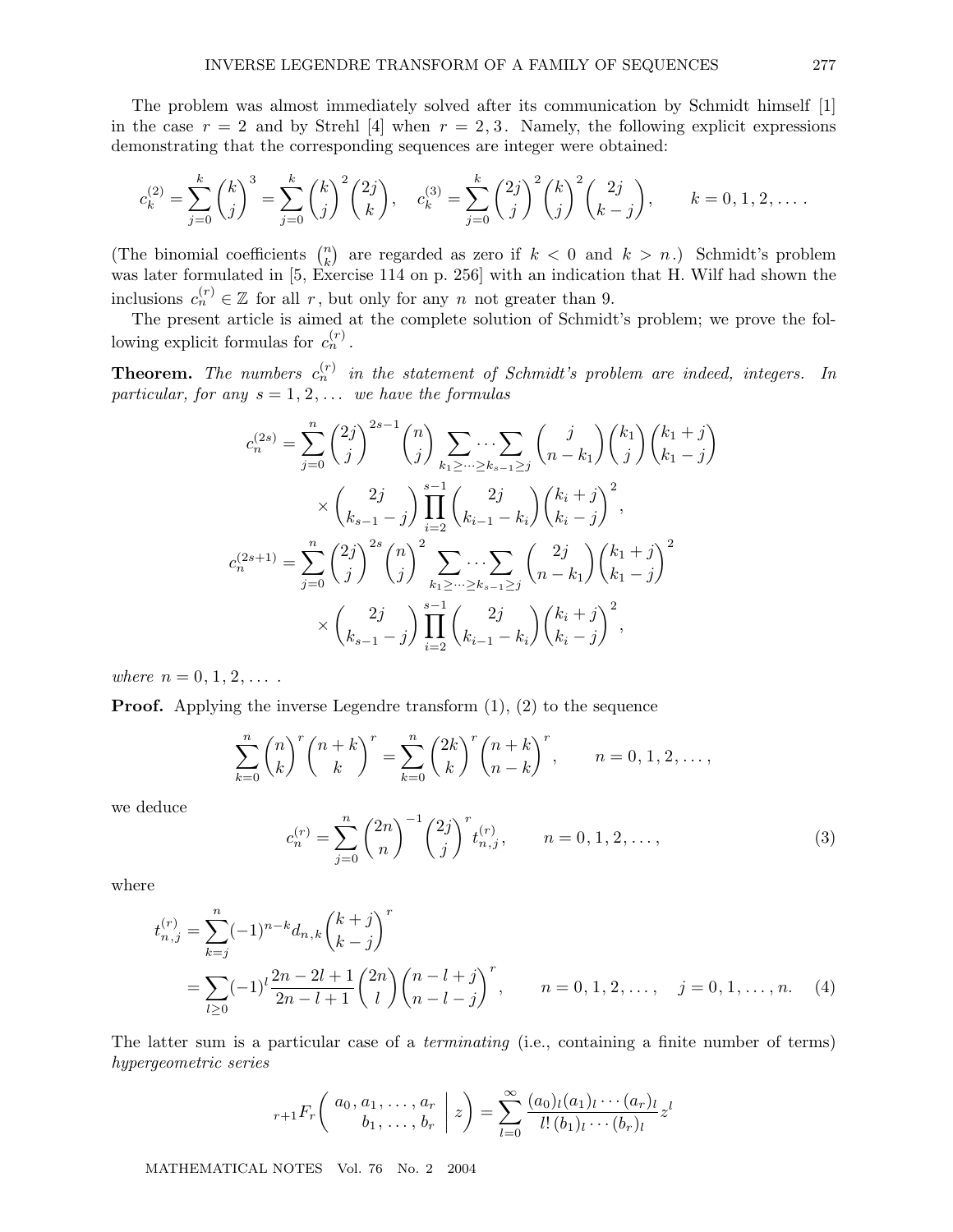The problem was almost immediately solved after its communication by Schmidt himself [1] in the case  $r = 2$  and by Strehl [4] when  $r = 2, 3$ . Namely, the following explicit expressions demonstrating that the corresponding sequences are integer were obtained:

$$
c_k^{(2)} = \sum_{j=0}^k {k \choose j}^3 = \sum_{j=0}^k {k \choose j}^2 {2j \choose k}, \quad c_k^{(3)} = \sum_{j=0}^k {2j \choose j}^2 {k \choose j}^2 {2j \choose k-j}, \qquad k = 0, 1, 2, ....
$$

(The binomial coefficients  $\binom{n}{k}$  are regarded as zero if  $k < 0$  and  $k > n$ .) Schmidt's problem was later formulated in [5, Exercise 114 on p. 256] with an indication that H. Wilf had shown the inclusions  $c_n^{(r)} \in \mathbb{Z}$  for all r, but only for any n not greater than 9.

The present article is aimed at the complete solution of Schmidt's problem; we prove the following explicit formulas for  $c_n^{(r)}$ .

**Theorem.** The numbers  $c_n^{(r)}$  in the statement of Schmidt's problem are indeed, integers. In *particular, for any* s = 1, 2,... *we have the formulas*

$$
c_n^{(2s)} = \sum_{j=0}^n \binom{2j}{j}^{2s-1} \binom{n}{j} \sum_{k_1 \geq \dots \geq k_{s-1} \geq j} \binom{j}{n-k_1} \binom{k_1}{j} \binom{k_1+j}{k_1-j}
$$

$$
\times \binom{2j}{k_{s-1}-j} \prod_{i=2}^{s-1} \binom{2j}{k_{i-1}-k_i} \binom{k_i+j}{k_i-j}^2,
$$

$$
c_n^{(2s+1)} = \sum_{j=0}^n \binom{2j}{j}^{2s} \binom{n}{j}^2 \sum_{k_1 \geq \dots \geq k_{s-1} \geq j} \binom{2j}{n-k_1} \binom{k_1+j}{k_1-j}^2
$$

$$
\times \binom{2j}{k_{s-1}-j} \prod_{i=2}^{s-1} \binom{2j}{k_{i-1}-k_i} \binom{k_i+j}{k_i-j}^2,
$$

*where*  $n = 0, 1, 2, \ldots$ 

**Proof.** Applying the inverse Legendre transform  $(1)$ ,  $(2)$  to the sequence

$$
\sum_{k=0}^{n} {n \choose k}^{r} {n+k \choose k}^{r} = \sum_{k=0}^{n} {2k \choose k}^{r} {n+k \choose n-k}^{r}, \qquad n = 0, 1, 2, ...,
$$

we deduce

$$
c_n^{(r)} = \sum_{j=0}^n \binom{2n}{n}^{-1} \binom{2j}{j}^r t_{n,j}^{(r)}, \qquad n = 0, 1, 2, \dots,
$$
 (3)

where

$$
t_{n,j}^{(r)} = \sum_{k=j}^{n} (-1)^{n-k} d_{n,k} {k+j \choose k-j}^r
$$
  
= 
$$
\sum_{l \ge 0} (-1)^l \frac{2n-2l+1}{2n-l+1} {2n \choose l} {n-l+j \choose n-l-j}^r, \qquad n = 0, 1, 2, ..., \quad j = 0, 1, ..., n. \quad (4)
$$

The latter sum is a particular case of a *terminating* (i.e., containing a finite number of terms) *hypergeometric series*

$$
{}_{r+1}F_r\left(\begin{array}{c} a_0, a_1, \ldots, a_r \\ b_1, \ldots, b_r \end{array} \middle| z \right) = \sum_{l=0}^{\infty} \frac{(a_0)_l (a_1)_l \cdots (a_r)_l}{l! (b_1)_l \cdots (b_r)_l} z^l
$$

MATHEMATICAL NOTES Vol. 76 No. 2 2004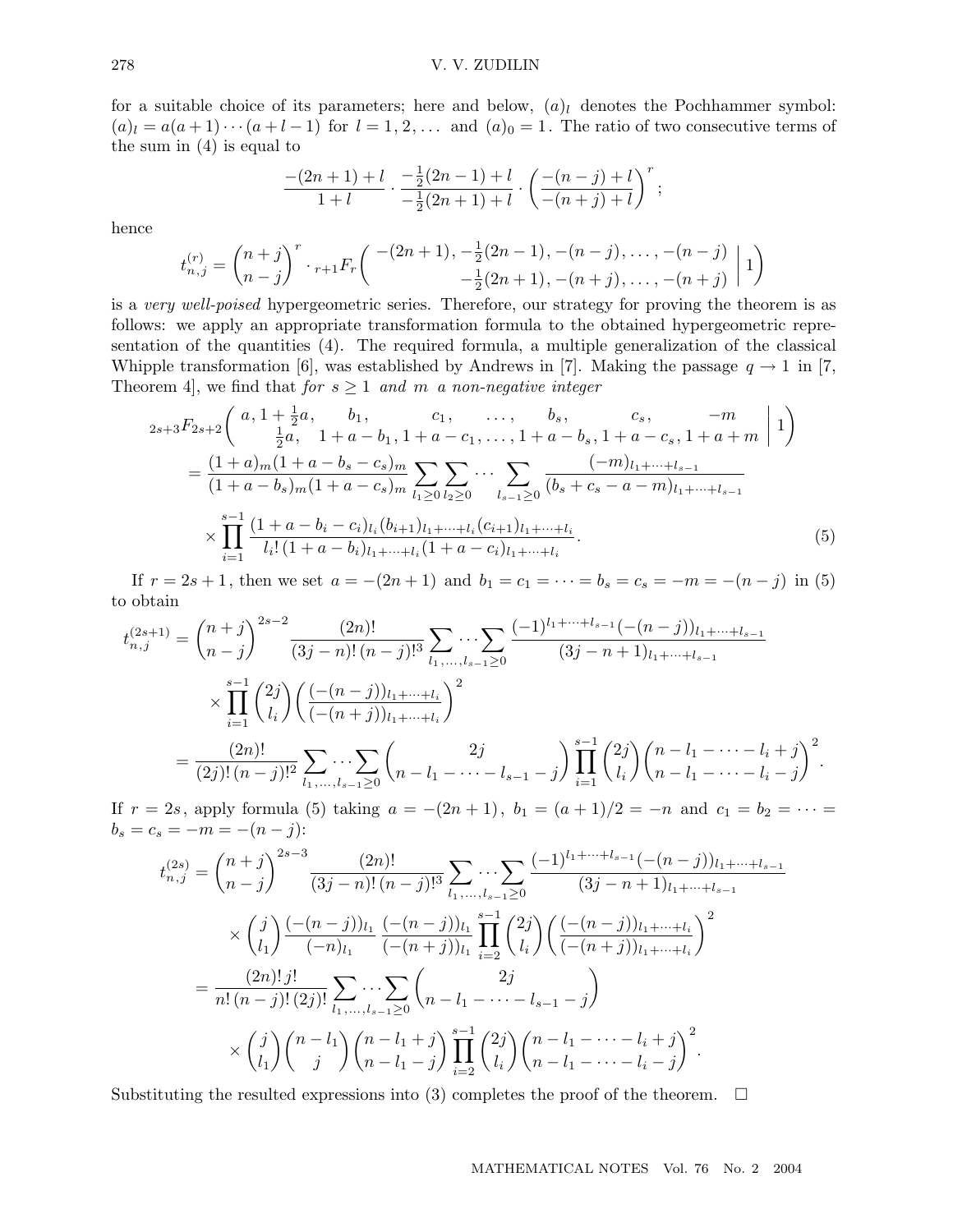for a suitable choice of its parameters; here and below,  $(a)_l$  denotes the Pochhammer symbol:  $(a)_l = a(a+1)\cdots(a+l-1)$  for  $l = 1, 2, \ldots$  and  $(a)_0 = 1$ . The ratio of two consecutive terms of the sum in (4) is equal to

$$
\frac{-(2n+1)+l}{1+l}\cdot\frac{-\frac{1}{2}(2n-1)+l}{-\frac{1}{2}(2n+1)+l}\cdot\left(\frac{-(n-j)+l}{-(n+j)+l}\right)^r;
$$

hence

$$
t_{n,j}^{(r)} = {n+j \choose n-j}^r \cdot {}_{r+1}F_r \left( \begin{array}{c} -(2n+1), -\frac{1}{2}(2n-1), -(n-j), \dots, -(n-j) \\ -\frac{1}{2}(2n+1), -(n+j), \dots, -(n+j) \end{array} \bigg| 1 \right)
$$

is a *very well-poised* hypergeometric series. Therefore, our strategy for proving the theorem is as follows: we apply an appropriate transformation formula to the obtained hypergeometric representation of the quantities (4). The required formula, a multiple generalization of the classical Whipple transformation [6], was established by Andrews in [7]. Making the passage  $q \to 1$  in [7, Theorem 4, we find that *for*  $s \geq 1$  *and* m *a non-negative integer* 

$$
2s+3F_{2s+2}\left(a, 1+\frac{1}{2}a, b_1, c_1, \dots, b_s, c_s, -m \atop \frac{1}{2}a, 1+a-b_1, 1+a-c_1, \dots, 1+a-b_s, 1+a-c_s, 1+a+m \mid 1\right)
$$
  
= 
$$
\frac{(1+a)_m(1+a-b_s-c_s)_m}{(1+a-b_s)_m(1+a-c_s)_m} \sum_{l_1 \geq 0} \sum_{l_2 \geq 0} \dots \sum_{l_{s-1} \geq 0} \frac{(-m)_{l_1+\dots+l_{s-1}}}{(b_s+c_s-a-m)_{l_1+\dots+l_{s-1}}} \times \prod_{i=1}^{s-1} \frac{(1+a-b_i-c_i)_{l_i}(b_{i+1})_{l_1+\dots+l_i}(c_{i+1})_{l_1+\dots+l_i}}{l_i!(1+a-b_i)_{l_1+\dots+l_i}(1+a-c_i)_{l_1+\dots+l_i}}.
$$
(5)

If  $r = 2s + 1$ , then we set  $a = -(2n + 1)$  and  $b_1 = c_1 = \cdots = b_s = c_s = -m = -(n - j)$  in (5) to obtain

$$
t_{n,j}^{(2s+1)} = {n+j \choose n-j}^{2s-2} \frac{(2n)!}{(3j-n)!(n-j)!^3} \sum_{l_1,\ldots,l_{s-1}\geq 0} \frac{(-1)^{l_1+\cdots+l_{s-1}}(-(n-j))_{l_1+\cdots+l_{s-1}}}{(3j-n+1)_{l_1+\cdots+l_{s-1}}} \\
\times \prod_{i=1}^{s-1} {2j \choose l_i} \left(\frac{(-(n-j))_{l_1+\cdots+l_i}}{(-(n+j))_{l_1+\cdots+l_i}}\right)^2 \\
= \frac{(2n)!}{(2j)!(n-j)!^2} \sum_{l_1,\ldots,l_{s-1}\geq 0} \left(\frac{2j}{n-l_1-\cdots-l_{s-1}-j}\right) \prod_{i=1}^{s-1} {2j \choose l_i} {n-l_1-\cdots-l_i+j \choose n-l_1-\cdots-l_i-j}^2.
$$

If  $r = 2s$ , apply formula (5) taking  $a = -(2n + 1)$ ,  $b_1 = (a + 1)/2 = -n$  and  $c_1 = b_2 = \cdots$  $b_s = c_s = -m = -(n-j)$ :

$$
t_{n,j}^{(2s)} = {n+j \choose n-j}^{2s-3} \frac{(2n)!}{(3j-n)!(n-j)!^3} \sum_{l_1,\ldots,l_{s-1}\geq 0} \cdots \sum_{(3j-n+1)l_1+\cdots+l_{s-1}} \frac{(-1)^{l_1+\cdots+l_{s-1}}(-(n-j))_{l_1+\cdots+l_{s-1}}}{(3j-n+1)_{l_1+\cdots+l_{s-1}}} \\
\times {j \choose l_1} \frac{(-(n-j))_{l_1}}{(-n)_{l_1}} \frac{(-(n-j))_{l_1}}{((-n+j))_{l_1}} \prod_{i=2}^{s-1} {2j \choose l_i} \left(\frac{(-(n-j))_{l_1+\cdots+l_i}}{(-(n+j))_{l_1+\cdots+l_i}}\right)^2 \\
= \frac{(2n)!j!}{n!(n-j)!(2j)!} \sum_{l_1,\ldots,l_{s-1}\geq 0} \binom{2j}{n-l_1-\cdots-l_{s-1}-j} \\
\times {j \choose l_1} {n-l_1 \choose j} {n-l_1+j \choose n-l_1-j} \prod_{i=2}^{s-1} {2j \choose l_i} {n-l_1-\cdots-l_i+j \choose n-l_1-\cdots-l_{i-j}}^2.
$$

Substituting the resulted expressions into (3) completes the proof of the theorem.  $\Box$